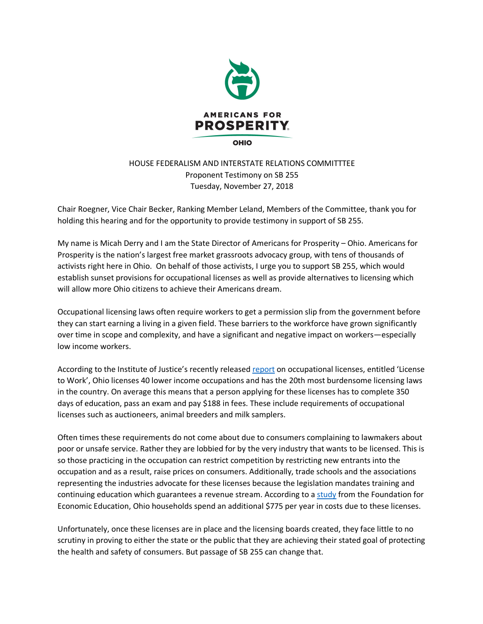

## HOUSE FEDERALISM AND INTERSTATE RELATIONS COMMITTTEE Proponent Testimony on SB 255 Tuesday, November 27, 2018

Chair Roegner, Vice Chair Becker, Ranking Member Leland, Members of the Committee, thank you for holding this hearing and for the opportunity to provide testimony in support of SB 255.

My name is Micah Derry and I am the State Director of Americans for Prosperity – Ohio. Americans for Prosperity is the nation's largest free market grassroots advocacy group, with tens of thousands of activists right here in Ohio. On behalf of those activists, I urge you to support SB 255, which would establish sunset provisions for occupational licenses as well as provide alternatives to licensing which will allow more Ohio citizens to achieve their Americans dream.

Occupational licensing laws often require workers to get a permission slip from the government before they can start earning a living in a given field. These barriers to the workforce have grown significantly over time in scope and complexity, and have a significant and negative impact on workers—especially low income workers.

According to the Institute of Justice's recently released report on occupational licenses, entitled 'License to Work', Ohio licenses 40 lower income occupations and has the 20th most burdensome licensing laws in the country. On average this means that a person applying for these licenses has to complete 350 days of education, pass an exam and pay \$188 in fees. These include requirements of occupational licenses such as auctioneers, animal breeders and milk samplers.

Often times these requirements do not come about due to consumers complaining to lawmakers about poor or unsafe service. Rather they are lobbied for by the very industry that wants to be licensed. This is so those practicing in the occupation can restrict competition by restricting new entrants into the occupation and as a result, raise prices on consumers. Additionally, trade schools and the associations representing the industries advocate for these licenses because the legislation mandates training and continuing education which guarantees a revenue stream. According to a study from the Foundation for Economic Education, Ohio households spend an additional \$775 per year in costs due to these licenses.

Unfortunately, once these licenses are in place and the licensing boards created, they face little to no scrutiny in proving to either the state or the public that they are achieving their stated goal of protecting the health and safety of consumers. But passage of SB 255 can change that.